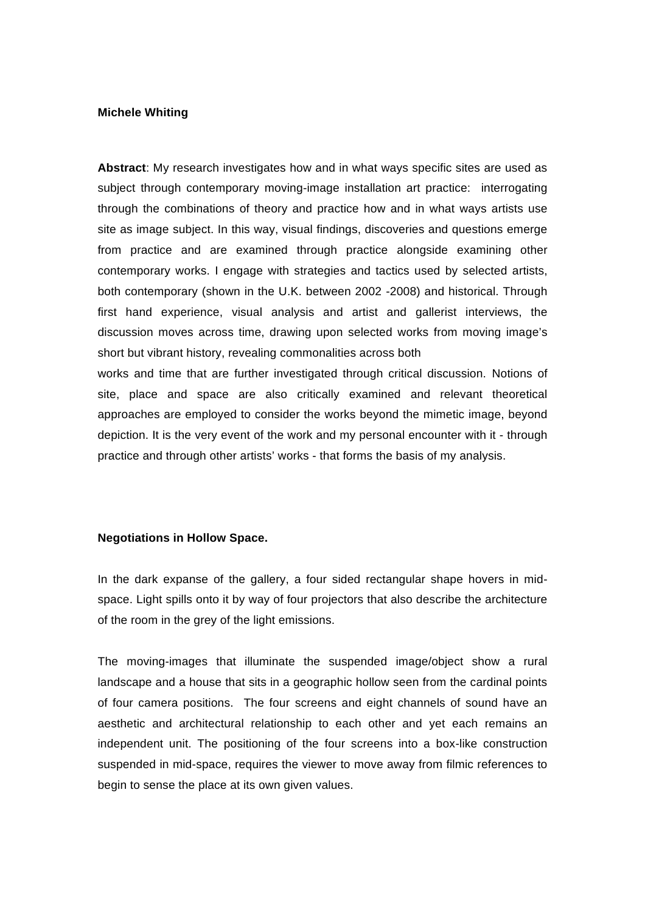## **Michele Whiting**

**Abstract**: My research investigates how and in what ways specific sites are used as subject through contemporary moving-image installation art practice: interrogating through the combinations of theory and practice how and in what ways artists use site as image subject. In this way, visual findings, discoveries and questions emerge from practice and are examined through practice alongside examining other contemporary works. I engage with strategies and tactics used by selected artists, both contemporary (shown in the U.K. between 2002 -2008) and historical. Through first hand experience, visual analysis and artist and gallerist interviews, the discussion moves across time, drawing upon selected works from moving image's short but vibrant history, revealing commonalities across both

works and time that are further investigated through critical discussion. Notions of site, place and space are also critically examined and relevant theoretical approaches are employed to consider the works beyond the mimetic image, beyond depiction. It is the very event of the work and my personal encounter with it - through practice and through other artists' works - that forms the basis of my analysis.

#### **Negotiations in Hollow Space.**

In the dark expanse of the gallery, a four sided rectangular shape hovers in midspace. Light spills onto it by way of four projectors that also describe the architecture of the room in the grey of the light emissions.

The moving-images that illuminate the suspended image/object show a rural landscape and a house that sits in a geographic hollow seen from the cardinal points of four camera positions. The four screens and eight channels of sound have an aesthetic and architectural relationship to each other and yet each remains an independent unit. The positioning of the four screens into a box-like construction suspended in mid-space, requires the viewer to move away from filmic references to begin to sense the place at its own given values.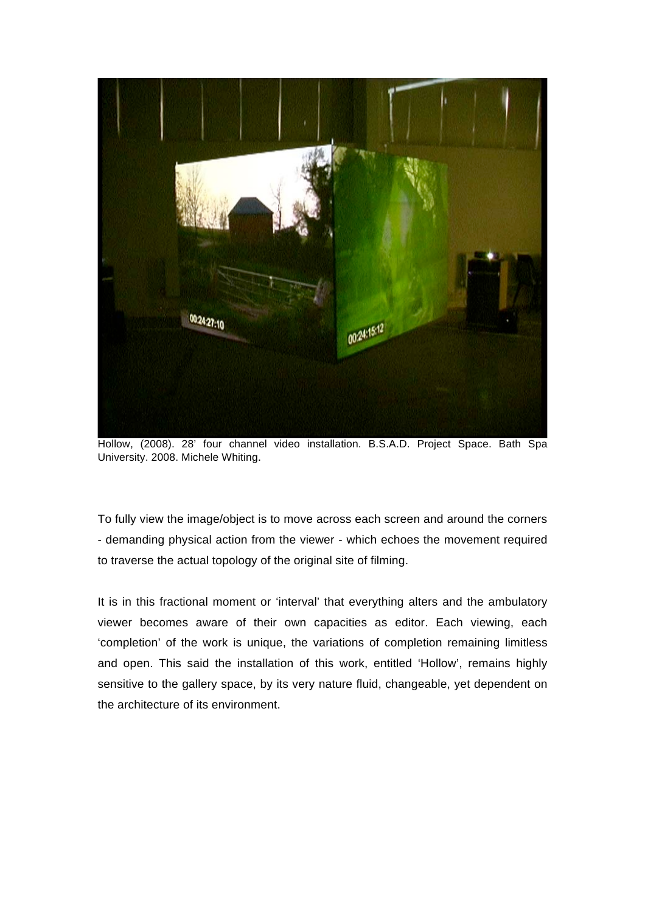

Hollow, (2008). 28' four channel video installation. B.S.A.D. Project Space. Bath Spa University. 2008. Michele Whiting.

To fully view the image/object is to move across each screen and around the corners - demanding physical action from the viewer - which echoes the movement required to traverse the actual topology of the original site of filming.

It is in this fractional moment or 'interval' that everything alters and the ambulatory viewer becomes aware of their own capacities as editor. Each viewing, each 'completion' of the work is unique, the variations of completion remaining limitless and open. This said the installation of this work, entitled 'Hollow', remains highly sensitive to the gallery space, by its very nature fluid, changeable, yet dependent on the architecture of its environment.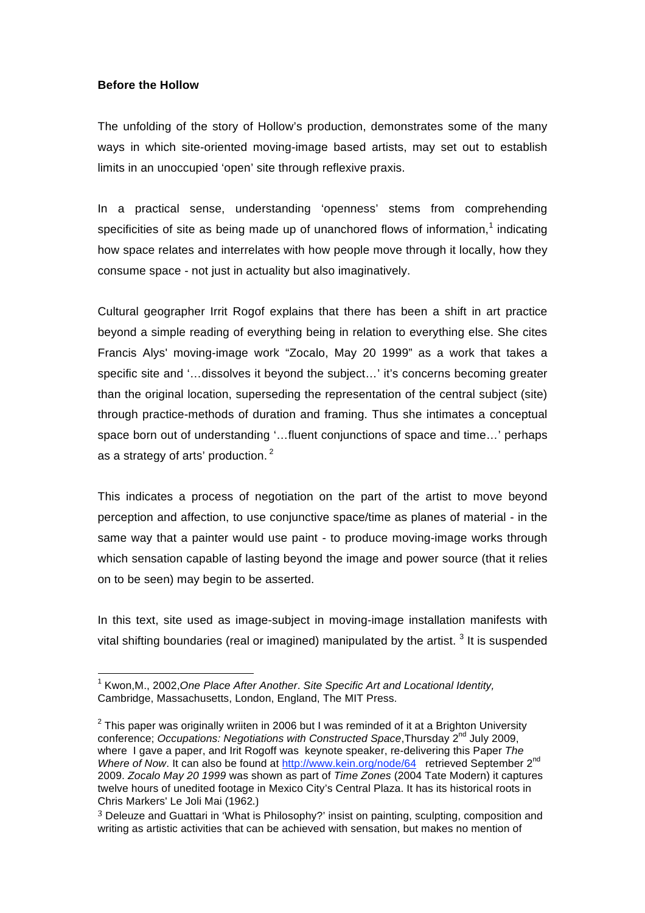# **Before the Hollow**

The unfolding of the story of Hollow's production, demonstrates some of the many ways in which site-oriented moving-image based artists, may set out to establish limits in an unoccupied 'open' site through reflexive praxis.

In a practical sense, understanding 'openness' stems from comprehending specificities of site as being made up of unanchored flows of information,<sup>1</sup> indicating how space relates and interrelates with how people move through it locally, how they consume space - not just in actuality but also imaginatively.

Cultural geographer Irrit Rogof explains that there has been a shift in art practice beyond a simple reading of everything being in relation to everything else. She cites Francis Alys' moving-image work "Zocalo, May 20 1999" as a work that takes a specific site and '…dissolves it beyond the subject…' it's concerns becoming greater than the original location, superseding the representation of the central subject (site) through practice-methods of duration and framing. Thus she intimates a conceptual space born out of understanding '…fluent conjunctions of space and time…' perhaps as a strategy of arts' production. $<sup>2</sup>$ </sup>

This indicates a process of negotiation on the part of the artist to move beyond perception and affection, to use conjunctive space/time as planes of material - in the same way that a painter would use paint - to produce moving-image works through which sensation capable of lasting beyond the image and power source (that it relies on to be seen) may begin to be asserted.

In this text, site used as image-subject in moving-image installation manifests with vital shifting boundaries (real or imagined) manipulated by the artist.  $^3$  It is suspended

 <sup>1</sup> Kwon,M., 2002,*One Place After Another*. *Site Specific Art and Locational Identity,* Cambridge, Massachusetts, London, England, The MIT Press.

<sup>&</sup>lt;sup>2</sup> This paper was originally wriiten in 2006 but I was reminded of it at a Brighton University conference; *Occupations: Negotiations with Constructed Space*,Thursday 2nd July 2009, where I gave a paper, and Irit Rogoff was keynote speaker, re-delivering this Paper *The Where of Now.* It can also be found at http://www.kein.org/node/64 retrieved September 2<sup>nd</sup> 2009. *Zocalo May 20 1999* was shown as part of *Time Zones* (2004 Tate Modern) it captures twelve hours of unedited footage in Mexico City's Central Plaza. It has its historical roots in Chris Markers' Le Joli Mai (1962.)

<sup>&</sup>lt;sup>3</sup> Deleuze and Guattari in 'What is Philosophy?' insist on painting, sculpting, composition and writing as artistic activities that can be achieved with sensation, but makes no mention of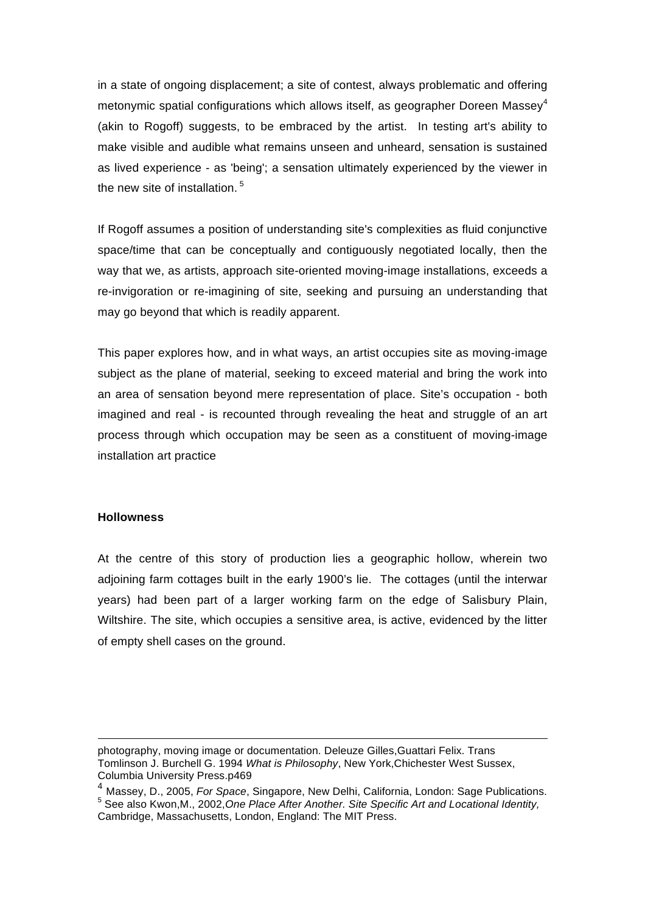in a state of ongoing displacement; a site of contest, always problematic and offering metonymic spatial configurations which allows itself, as geographer Doreen Massey<sup>4</sup> (akin to Rogoff) suggests, to be embraced by the artist. In testing art's ability to make visible and audible what remains unseen and unheard, sensation is sustained as lived experience - as 'being'; a sensation ultimately experienced by the viewer in the new site of installation.<sup>5</sup>

If Rogoff assumes a position of understanding site's complexities as fluid conjunctive space/time that can be conceptually and contiguously negotiated locally, then the way that we, as artists, approach site-oriented moving-image installations, exceeds a re-invigoration or re-imagining of site, seeking and pursuing an understanding that may go beyond that which is readily apparent.

This paper explores how, and in what ways, an artist occupies site as moving-image subject as the plane of material, seeking to exceed material and bring the work into an area of sensation beyond mere representation of place. Site's occupation - both imagined and real - is recounted through revealing the heat and struggle of an art process through which occupation may be seen as a constituent of moving-image installation art practice

### **Hollowness**

At the centre of this story of production lies a geographic hollow, wherein two adjoining farm cottages built in the early 1900's lie. The cottages (until the interwar years) had been part of a larger working farm on the edge of Salisbury Plain, Wiltshire. The site, which occupies a sensitive area, is active, evidenced by the litter of empty shell cases on the ground.

<u> 1989 - Andrea Santa Alemania, poeta esperanto-se especial de la propia de la propia de la propia de la propia</u>

photography, moving image or documentation. Deleuze Gilles,Guattari Felix. Trans Tomlinson J. Burchell G. 1994 *What is Philosophy*, New York,Chichester West Sussex, Columbia University Press.p469

<sup>4</sup> Massey, D., 2005, *For Space*, Singapore, New Delhi, California, London: Sage Publications. 5 See also Kwon,M., 2002,*One Place After Another. Site Specific Art and Locational Identity,* Cambridge, Massachusetts, London, England: The MIT Press.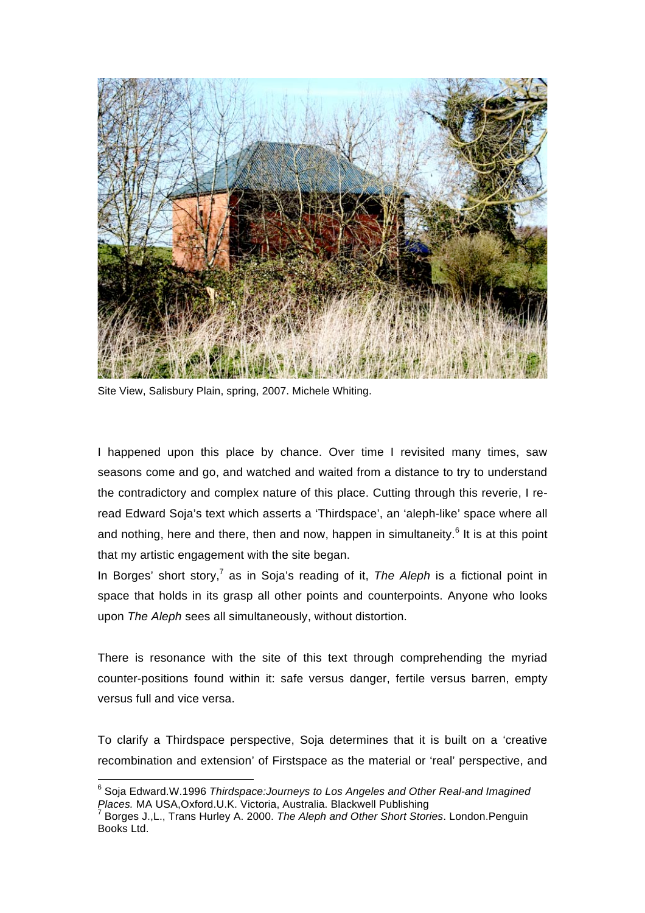

Site View, Salisbury Plain, spring, 2007. Michele Whiting.

I happened upon this place by chance. Over time I revisited many times, saw seasons come and go, and watched and waited from a distance to try to understand the contradictory and complex nature of this place. Cutting through this reverie, I reread Edward Soja's text which asserts a 'Thirdspace', an 'aleph-like' space where all and nothing, here and there, then and now, happen in simultaneity.<sup>6</sup> It is at this point that my artistic engagement with the site began.

In Borges' short story,<sup>7</sup> as in Soja's reading of it, *The Aleph* is a fictional point in space that holds in its grasp all other points and counterpoints. Anyone who looks upon *The Aleph* sees all simultaneously, without distortion.

There is resonance with the site of this text through comprehending the myriad counter-positions found within it: safe versus danger, fertile versus barren, empty versus full and vice versa.

To clarify a Thirdspace perspective, Soja determines that it is built on a 'creative recombination and extension' of Firstspace as the material or 'real' perspective, and

 <sup>6</sup> Soja Edward.W.1996 *Thirdspace:Journeys to Los Angeles and Other Real-and Imagined Places.* MA USA,Oxford.U.K. Victoria, Australia. Blackwell Publishing <sup>7</sup>

Borges J.,L., Trans Hurley A. 2000. *The Aleph and Other Short Stories*. London.Penguin Books Ltd.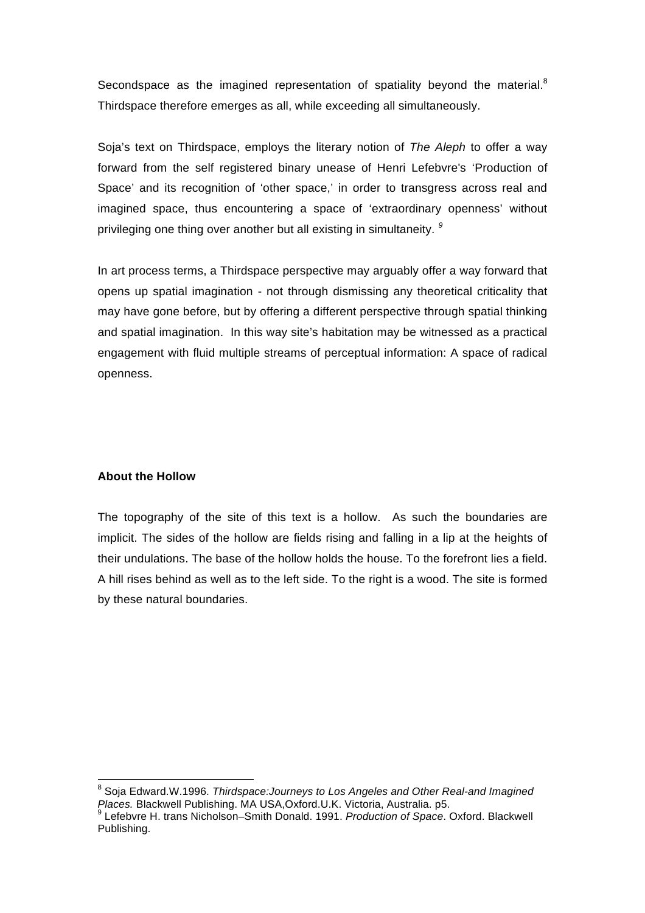Secondspace as the imagined representation of spatiality beyond the material. $8$ Thirdspace therefore emerges as all, while exceeding all simultaneously.

Soja's text on Thirdspace, employs the literary notion of *The Aleph* to offer a way forward from the self registered binary unease of Henri Lefebvre's 'Production of Space' and its recognition of 'other space,' in order to transgress across real and imagined space, thus encountering a space of 'extraordinary openness' without privileging one thing over another but all existing in simultaneity. *<sup>9</sup>*

In art process terms, a Thirdspace perspective may arguably offer a way forward that opens up spatial imagination - not through dismissing any theoretical criticality that may have gone before, but by offering a different perspective through spatial thinking and spatial imagination. In this way site's habitation may be witnessed as a practical engagement with fluid multiple streams of perceptual information: A space of radical openness.

# **About the Hollow**

The topography of the site of this text is a hollow. As such the boundaries are implicit. The sides of the hollow are fields rising and falling in a lip at the heights of their undulations. The base of the hollow holds the house. To the forefront lies a field. A hill rises behind as well as to the left side. To the right is a wood. The site is formed by these natural boundaries.

 <sup>8</sup> Soja Edward.W.1996. *Thirdspace:Journeys to Los Angeles and Other Real-and Imagined Places.* Blackwell Publishing. MA USA, Oxford.U.K. Victoria, Australia. p5.

Lefebvre H. trans Nicholson–Smith Donald. 1991. *Production of Space*. Oxford. Blackwell Publishing.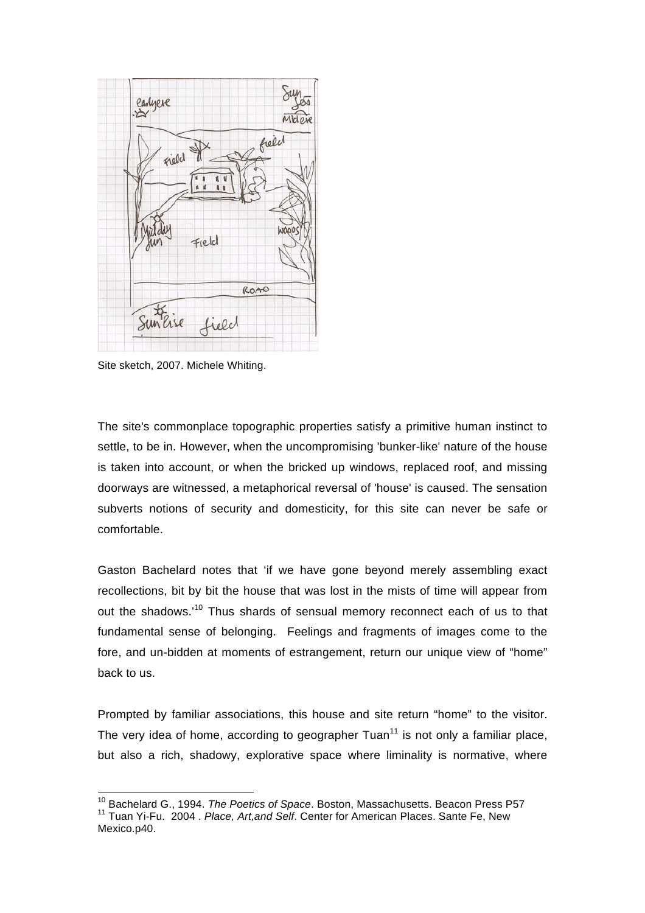

Site sketch, 2007. Michele Whiting.

The site's commonplace topographic properties satisfy a primitive human instinct to settle, to be in. However, when the uncompromising 'bunker-like' nature of the house is taken into account, or when the bricked up windows, replaced roof, and missing doorways are witnessed, a metaphorical reversal of 'house' is caused. The sensation subverts notions of security and domesticity, for this site can never be safe or comfortable.

Gaston Bachelard notes that 'if we have gone beyond merely assembling exact recollections, bit by bit the house that was lost in the mists of time will appear from out the shadows.<sup>10</sup> Thus shards of sensual memory reconnect each of us to that fundamental sense of belonging. Feelings and fragments of images come to the fore, and un-bidden at moments of estrangement, return our unique view of "home" back to us.

Prompted by familiar associations, this house and site return "home" to the visitor. The very idea of home, according to geographer  $Tuan<sup>11</sup>$  is not only a familiar place, but also a rich, shadowy, explorative space where liminality is normative, where

 10 Bachelard G., 1994. *The Poetics of Space*. Boston, Massachusetts. Beacon Press P57 11 Tuan Yi-Fu. 2004 . *Place, Art,and Self*. Center for American Places. Sante Fe, New Mexico.p40.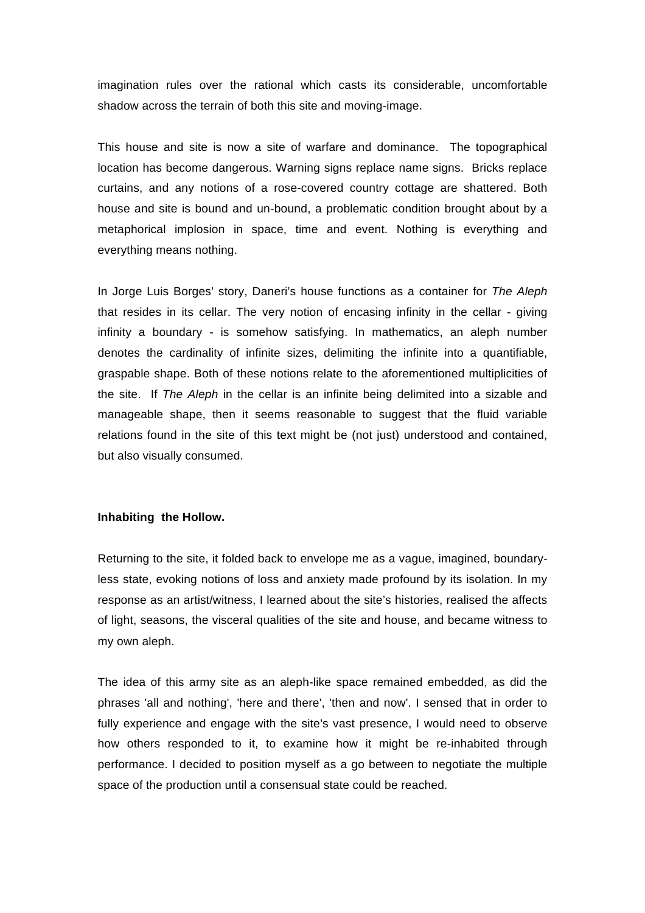imagination rules over the rational which casts its considerable, uncomfortable shadow across the terrain of both this site and moving-image.

This house and site is now a site of warfare and dominance. The topographical location has become dangerous. Warning signs replace name signs. Bricks replace curtains, and any notions of a rose-covered country cottage are shattered. Both house and site is bound and un-bound, a problematic condition brought about by a metaphorical implosion in space, time and event. Nothing is everything and everything means nothing.

In Jorge Luis Borges' story, Daneri's house functions as a container for *The Aleph* that resides in its cellar. The very notion of encasing infinity in the cellar - giving infinity a boundary - is somehow satisfying. In mathematics, an aleph number denotes the cardinality of infinite sizes, delimiting the infinite into a quantifiable, graspable shape. Both of these notions relate to the aforementioned multiplicities of the site. If *The Aleph* in the cellar is an infinite being delimited into a sizable and manageable shape, then it seems reasonable to suggest that the fluid variable relations found in the site of this text might be (not just) understood and contained, but also visually consumed.

### **Inhabiting the Hollow.**

Returning to the site, it folded back to envelope me as a vague, imagined, boundaryless state, evoking notions of loss and anxiety made profound by its isolation. In my response as an artist/witness, I learned about the site's histories, realised the affects of light, seasons, the visceral qualities of the site and house, and became witness to my own aleph.

The idea of this army site as an aleph-like space remained embedded, as did the phrases 'all and nothing', 'here and there', 'then and now'. I sensed that in order to fully experience and engage with the site's vast presence, I would need to observe how others responded to it, to examine how it might be re-inhabited through performance. I decided to position myself as a go between to negotiate the multiple space of the production until a consensual state could be reached.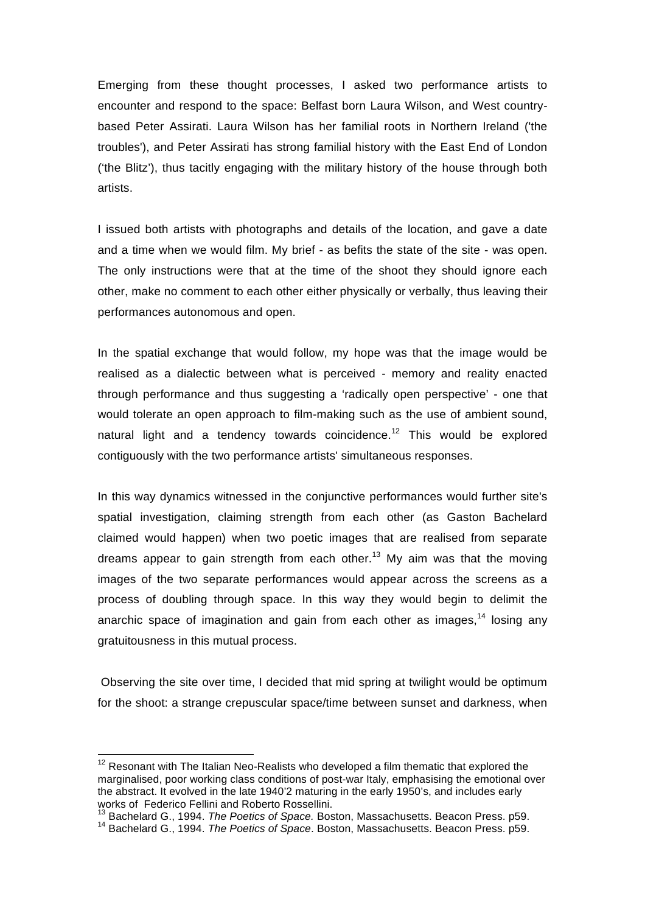Emerging from these thought processes, I asked two performance artists to encounter and respond to the space: Belfast born Laura Wilson, and West countrybased Peter Assirati. Laura Wilson has her familial roots in Northern Ireland ('the troubles'), and Peter Assirati has strong familial history with the East End of London ('the Blitz'), thus tacitly engaging with the military history of the house through both artists.

I issued both artists with photographs and details of the location, and gave a date and a time when we would film. My brief - as befits the state of the site - was open. The only instructions were that at the time of the shoot they should ignore each other, make no comment to each other either physically or verbally, thus leaving their performances autonomous and open.

In the spatial exchange that would follow, my hope was that the image would be realised as a dialectic between what is perceived - memory and reality enacted through performance and thus suggesting a 'radically open perspective' - one that would tolerate an open approach to film-making such as the use of ambient sound, natural light and a tendency towards coincidence.<sup>12</sup> This would be explored contiguously with the two performance artists' simultaneous responses.

In this way dynamics witnessed in the conjunctive performances would further site's spatial investigation, claiming strength from each other (as Gaston Bachelard claimed would happen) when two poetic images that are realised from separate dreams appear to gain strength from each other.<sup>13</sup> My aim was that the moving images of the two separate performances would appear across the screens as a process of doubling through space. In this way they would begin to delimit the anarchic space of imagination and gain from each other as images,  $14$  losing any gratuitousness in this mutual process.

Observing the site over time, I decided that mid spring at twilight would be optimum for the shoot: a strange crepuscular space/time between sunset and darkness, when

 $12$  Resonant with The Italian Neo-Realists who developed a film thematic that explored the marginalised, poor working class conditions of post-war Italy, emphasising the emotional over the abstract. It evolved in the late 1940'2 maturing in the early 1950's, and includes early works of Federico Fellini and Roberto Rossellini.<br><sup>13</sup> Bachelard G., 1994. *The Poetics of Space.* Boston, Massachusetts. Beacon Press. p59.

<sup>13</sup> Bachelard G., 1994. *The Poetics of Space.* Boston, Massachusetts. Beacon Press. p59. 14 Bachelard G., 1994. *The Poetics of Space*. Boston, Massachusetts. Beacon Press. p59.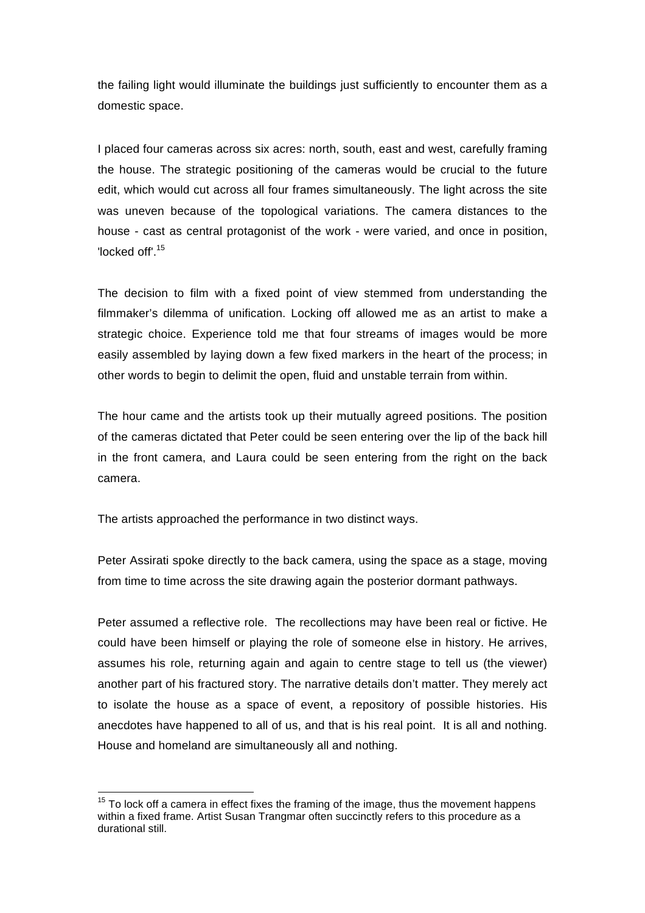the failing light would illuminate the buildings just sufficiently to encounter them as a domestic space.

I placed four cameras across six acres: north, south, east and west, carefully framing the house. The strategic positioning of the cameras would be crucial to the future edit, which would cut across all four frames simultaneously. The light across the site was uneven because of the topological variations. The camera distances to the house - cast as central protagonist of the work - were varied, and once in position, 'locked off'.<sup>15</sup>

The decision to film with a fixed point of view stemmed from understanding the filmmaker's dilemma of unification. Locking off allowed me as an artist to make a strategic choice. Experience told me that four streams of images would be more easily assembled by laying down a few fixed markers in the heart of the process; in other words to begin to delimit the open, fluid and unstable terrain from within.

The hour came and the artists took up their mutually agreed positions. The position of the cameras dictated that Peter could be seen entering over the lip of the back hill in the front camera, and Laura could be seen entering from the right on the back camera.

The artists approached the performance in two distinct ways.

Peter Assirati spoke directly to the back camera, using the space as a stage, moving from time to time across the site drawing again the posterior dormant pathways.

Peter assumed a reflective role. The recollections may have been real or fictive. He could have been himself or playing the role of someone else in history. He arrives, assumes his role, returning again and again to centre stage to tell us (the viewer) another part of his fractured story. The narrative details don't matter. They merely act to isolate the house as a space of event, a repository of possible histories. His anecdotes have happened to all of us, and that is his real point. It is all and nothing. House and homeland are simultaneously all and nothing.

 $15$  To lock off a camera in effect fixes the framing of the image, thus the movement happens within a fixed frame. Artist Susan Trangmar often succinctly refers to this procedure as a durational still.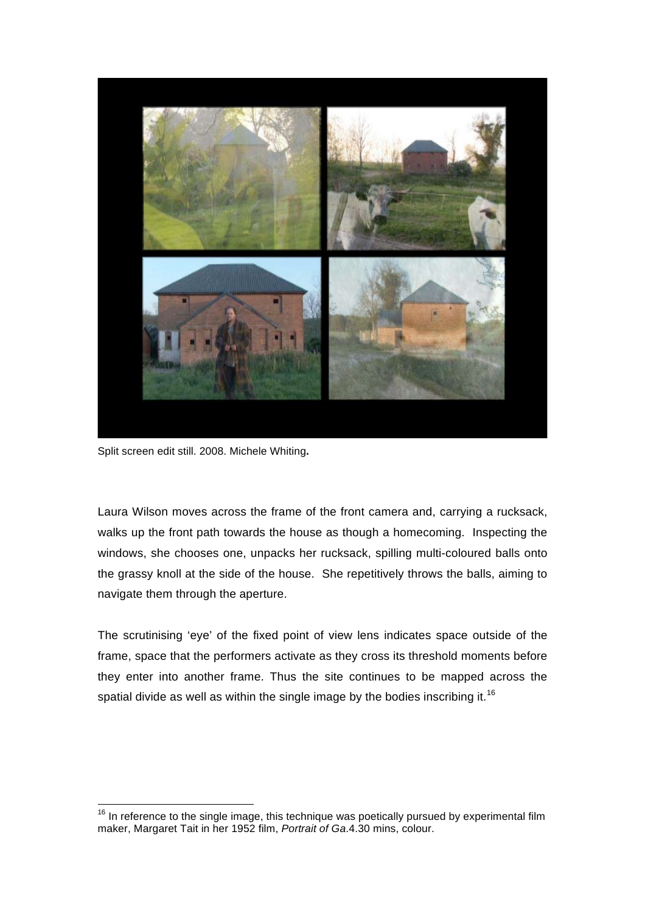

Split screen edit still. 2008. Michele Whiting**.**

Laura Wilson moves across the frame of the front camera and, carrying a rucksack, walks up the front path towards the house as though a homecoming. Inspecting the windows, she chooses one, unpacks her rucksack, spilling multi-coloured balls onto the grassy knoll at the side of the house. She repetitively throws the balls, aiming to navigate them through the aperture.

The scrutinising 'eye' of the fixed point of view lens indicates space outside of the frame, space that the performers activate as they cross its threshold moments before they enter into another frame. Thus the site continues to be mapped across the spatial divide as well as within the single image by the bodies inscribing it.<sup>16</sup>

 $16$  In reference to the single image, this technique was poetically pursued by experimental film maker, Margaret Tait in her 1952 film, *Portrait of Ga*.4.30 mins, colour.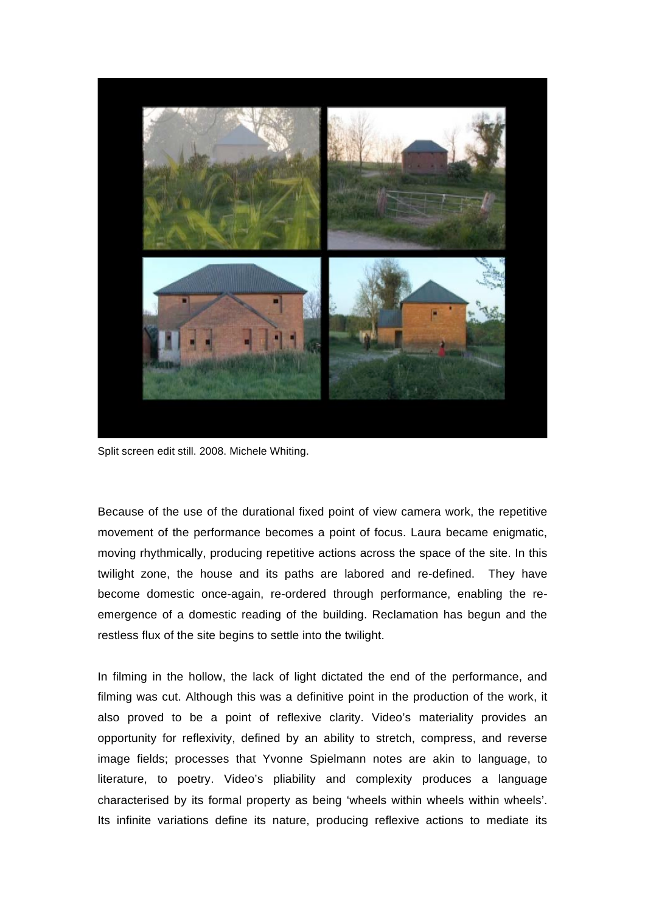

Split screen edit still. 2008. Michele Whiting.

Because of the use of the durational fixed point of view camera work, the repetitive movement of the performance becomes a point of focus. Laura became enigmatic, moving rhythmically, producing repetitive actions across the space of the site. In this twilight zone, the house and its paths are labored and re-defined. They have become domestic once-again, re-ordered through performance, enabling the reemergence of a domestic reading of the building. Reclamation has begun and the restless flux of the site begins to settle into the twilight.

In filming in the hollow, the lack of light dictated the end of the performance, and filming was cut. Although this was a definitive point in the production of the work, it also proved to be a point of reflexive clarity. Video's materiality provides an opportunity for reflexivity, defined by an ability to stretch, compress, and reverse image fields; processes that Yvonne Spielmann notes are akin to language, to literature, to poetry. Video's pliability and complexity produces a language characterised by its formal property as being 'wheels within wheels within wheels'. Its infinite variations define its nature, producing reflexive actions to mediate its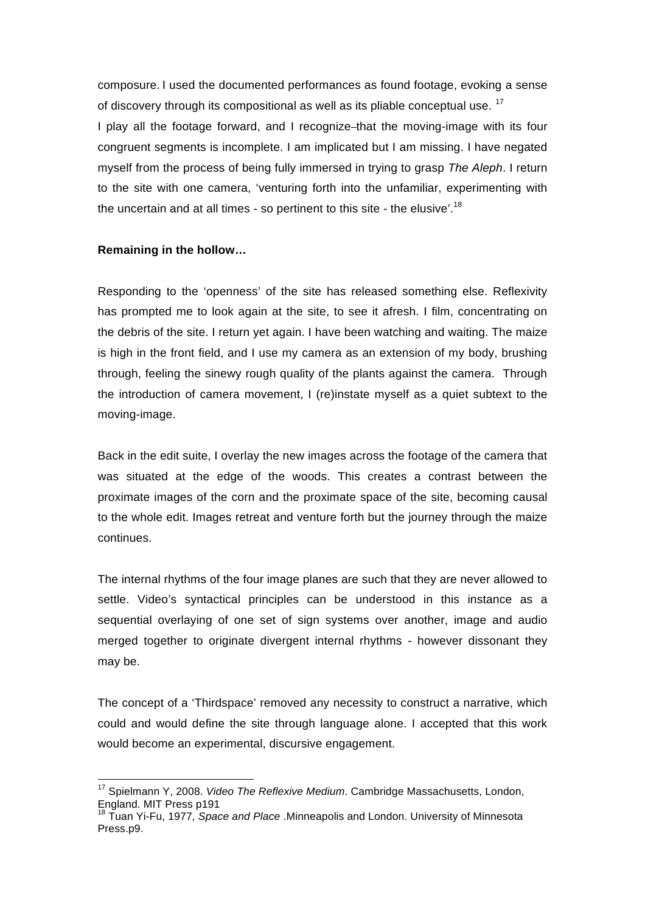composure. I used the documented performances as found footage, evoking a sense of discovery through its compositional as well as its pliable conceptual use.<sup>17</sup>

I play all the footage forward, and I recognize-that the moving-image with its four congruent segments is incomplete. I am implicated but I am missing. I have negated myself from the process of being fully immersed in trying to grasp *The Aleph*. I return to the site with one camera, 'venturing forth into the unfamiliar, experimenting with the uncertain and at all times - so pertinent to this site - the elusive'.<sup>18</sup>

### **Remaining in the hollow…**

Responding to the 'openness' of the site has released something else. Reflexivity has prompted me to look again at the site, to see it afresh. I film, concentrating on the debris of the site. I return yet again. I have been watching and waiting. The maize is high in the front field, and I use my camera as an extension of my body, brushing through, feeling the sinewy rough quality of the plants against the camera. Through the introduction of camera movement, I (re)instate myself as a quiet subtext to the moving-image.

Back in the edit suite, I overlay the new images across the footage of the camera that was situated at the edge of the woods. This creates a contrast between the proximate images of the corn and the proximate space of the site, becoming causal to the whole edit. Images retreat and venture forth but the journey through the maize continues.

The internal rhythms of the four image planes are such that they are never allowed to settle. Video's syntactical principles can be understood in this instance as a sequential overlaying of one set of sign systems over another, image and audio merged together to originate divergent internal rhythms - however dissonant they may be.

The concept of a 'Thirdspace' removed any necessity to construct a narrative, which could and would define the site through language alone. I accepted that this work would become an experimental, discursive engagement.

 17 Spielmann Y, 2008. *Video The Reflexive Medium*. Cambridge Massachusetts, London, England. MIT Press p191

<sup>18</sup> Tuan Yi-Fu, 1977*, Space and Place* .Minneapolis and London. University of Minnesota Press.p9.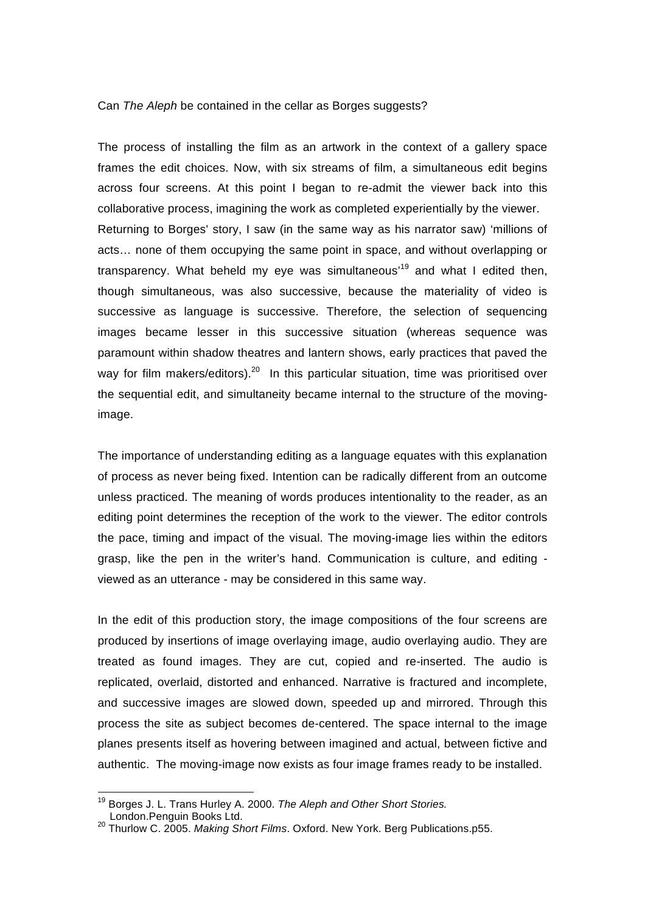### Can *The Aleph* be contained in the cellar as Borges suggests?

The process of installing the film as an artwork in the context of a gallery space frames the edit choices. Now, with six streams of film, a simultaneous edit begins across four screens. At this point I began to re-admit the viewer back into this collaborative process, imagining the work as completed experientially by the viewer. Returning to Borges' story, I saw (in the same way as his narrator saw) 'millions of acts… none of them occupying the same point in space, and without overlapping or transparency. What beheld my eye was simultaneous<sup>19</sup> and what I edited then, though simultaneous, was also successive, because the materiality of video is successive as language is successive. Therefore, the selection of sequencing images became lesser in this successive situation (whereas sequence was paramount within shadow theatres and lantern shows, early practices that paved the way for film makers/editors).<sup>20</sup> In this particular situation, time was prioritised over the sequential edit, and simultaneity became internal to the structure of the movingimage.

The importance of understanding editing as a language equates with this explanation of process as never being fixed. Intention can be radically different from an outcome unless practiced. The meaning of words produces intentionality to the reader, as an editing point determines the reception of the work to the viewer. The editor controls the pace, timing and impact of the visual. The moving-image lies within the editors grasp, like the pen in the writer's hand. Communication is culture, and editing viewed as an utterance - may be considered in this same way.

In the edit of this production story, the image compositions of the four screens are produced by insertions of image overlaying image, audio overlaying audio. They are treated as found images. They are cut, copied and re-inserted. The audio is replicated, overlaid, distorted and enhanced. Narrative is fractured and incomplete, and successive images are slowed down, speeded up and mirrored. Through this process the site as subject becomes de-centered. The space internal to the image planes presents itself as hovering between imagined and actual, between fictive and authentic. The moving-image now exists as four image frames ready to be installed.

 19 Borges J. L. Trans Hurley A. 2000. *The Aleph and Other Short Stories.*

London.Penguin Books Ltd. 20 Thurlow C. 2005. *Making Short Films*. Oxford. New York. Berg Publications.p55.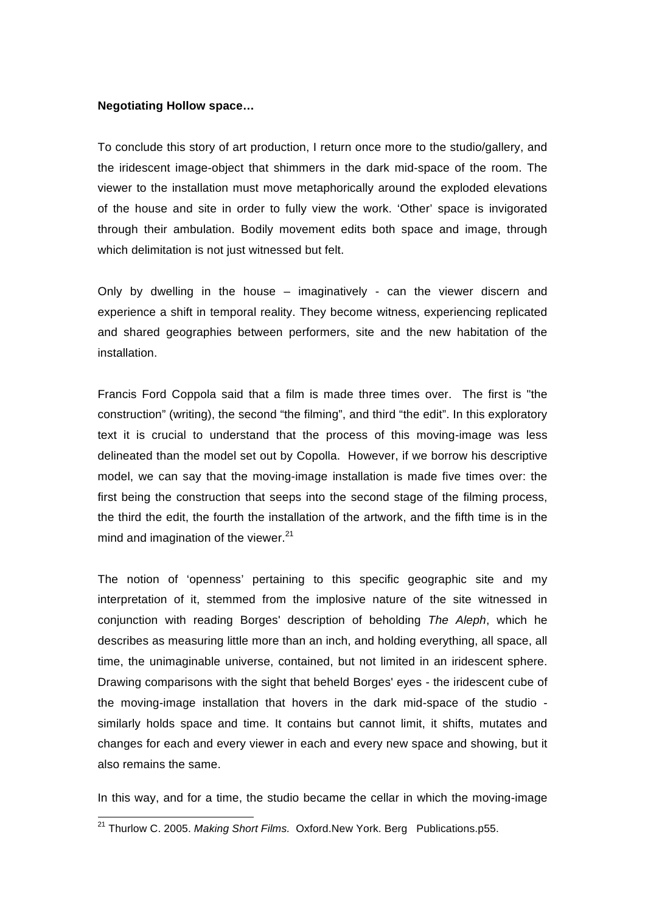### **Negotiating Hollow space…**

To conclude this story of art production, I return once more to the studio/gallery, and the iridescent image-object that shimmers in the dark mid-space of the room. The viewer to the installation must move metaphorically around the exploded elevations of the house and site in order to fully view the work. 'Other' space is invigorated through their ambulation. Bodily movement edits both space and image, through which delimitation is not just witnessed but felt.

Only by dwelling in the house – imaginatively - can the viewer discern and experience a shift in temporal reality. They become witness, experiencing replicated and shared geographies between performers, site and the new habitation of the installation.

Francis Ford Coppola said that a film is made three times over. The first is "the construction" (writing), the second "the filming", and third "the edit". In this exploratory text it is crucial to understand that the process of this moving-image was less delineated than the model set out by Copolla. However, if we borrow his descriptive model, we can say that the moving-image installation is made five times over: the first being the construction that seeps into the second stage of the filming process, the third the edit, the fourth the installation of the artwork, and the fifth time is in the mind and imagination of the viewer. $21$ 

The notion of 'openness' pertaining to this specific geographic site and my interpretation of it, stemmed from the implosive nature of the site witnessed in conjunction with reading Borges' description of beholding *The Aleph*, which he describes as measuring little more than an inch, and holding everything, all space, all time, the unimaginable universe, contained, but not limited in an iridescent sphere. Drawing comparisons with the sight that beheld Borges' eyes - the iridescent cube of the moving-image installation that hovers in the dark mid-space of the studio similarly holds space and time. It contains but cannot limit, it shifts, mutates and changes for each and every viewer in each and every new space and showing, but it also remains the same.

In this way, and for a time, the studio became the cellar in which the moving-image

 21 Thurlow C. 2005. *Making Short Films.* Oxford.New York. Berg Publications.p55.